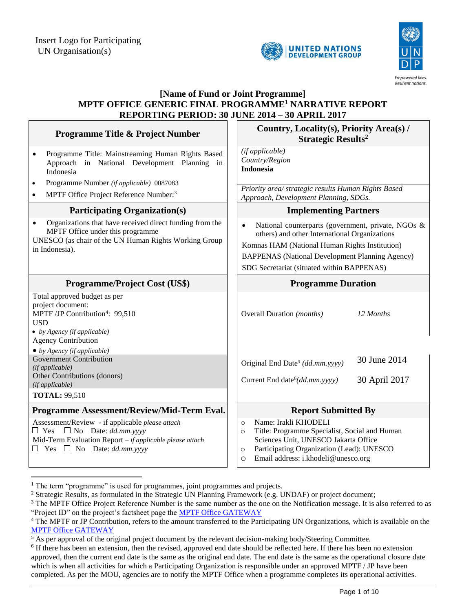



## **[Name of Fund or Joint Programme] MPTF OFFICE GENERIC FINAL PROGRAMME<sup>1</sup> NARRATIVE REPORT REPORTING PERIOD: 30 JUNE 2014 – 30 APRIL 2017**

| <b>Programme Title &amp; Project Number</b>                                                                                                                                                   | Country, Locality(s), Priority Area(s) /<br><b>Strategic Results<sup>2</sup></b>                                                                                                                                                                              |  |
|-----------------------------------------------------------------------------------------------------------------------------------------------------------------------------------------------|---------------------------------------------------------------------------------------------------------------------------------------------------------------------------------------------------------------------------------------------------------------|--|
| Programme Title: Mainstreaming Human Rights Based<br>$\bullet$<br>Approach in National Development Planning in<br>Indonesia                                                                   | (if applicable)<br>Country/Region<br><b>Indonesia</b>                                                                                                                                                                                                         |  |
| Programme Number (if applicable) 0087083<br>$\bullet$<br>MPTF Office Project Reference Number: <sup>3</sup><br>$\bullet$                                                                      | Priority area/ strategic results Human Rights Based<br>Approach, Development Planning, SDGs.                                                                                                                                                                  |  |
| <b>Participating Organization(s)</b>                                                                                                                                                          | <b>Implementing Partners</b>                                                                                                                                                                                                                                  |  |
| Organizations that have received direct funding from the<br>$\bullet$<br>MPTF Office under this programme<br>UNESCO (as chair of the UN Human Rights Working Group<br>in Indonesia).          | National counterparts (government, private, NGOs &<br>others) and other International Organizations<br>Komnas HAM (National Human Rights Institution)<br><b>BAPPENAS</b> (National Development Planning Agency)<br>SDG Secretariat (situated within BAPPENAS) |  |
| <b>Programme/Project Cost (US\$)</b>                                                                                                                                                          | <b>Programme Duration</b>                                                                                                                                                                                                                                     |  |
| Total approved budget as per<br>project document:<br>MPTF /JP Contribution <sup>4</sup> : 99,510<br><b>USD</b><br>• by Agency (if applicable)<br><b>Agency Contribution</b>                   | <b>Overall Duration</b> ( <i>months</i> )<br>12 Months                                                                                                                                                                                                        |  |
| $\bullet$ by Agency (if applicable)<br><b>Government Contribution</b><br>(if applicable)<br>Other Contributions (donors)<br>(if applicable)<br><b>TOTAL: 99,510</b>                           | 30 June 2014<br>Original End Date <sup>5</sup> (dd.mm.yyyy)<br>Current End date <sup>6</sup> (dd.mm.yyyy)<br>30 April 2017                                                                                                                                    |  |
| Programme Assessment/Review/Mid-Term Eval.                                                                                                                                                    | <b>Report Submitted By</b>                                                                                                                                                                                                                                    |  |
| Assessment/Review - if applicable please attach<br>$\Box$ Yes $\Box$ No Date: dd.mm.yyyy<br>Mid-Term Evaluation Report - if applicable please attach<br>$\Box$ Yes $\Box$ No Date: dd.mm.yyyy | Name: Irakli KHODELI<br>$\circ$<br>Title: Programme Specialist, Social and Human<br>$\circ$<br>Sciences Unit, UNESCO Jakarta Office<br>Participating Organization (Lead): UNESCO<br>$\circ$<br>Email address: i.khodeli@unesco.org<br>$\circ$                 |  |

<sup>&</sup>lt;sup>1</sup> The term "programme" is used for programmes, joint programmes and projects.

 $\overline{a}$ 

<sup>&</sup>lt;sup>2</sup> Strategic Results, as formulated in the Strategic UN Planning Framework (e.g. UNDAF) or project document;

 $3$  The MPTF Office Project Reference Number is the same number as the one on the Notification message. It is also referred to as "Project ID" on the project's factsheet page the [MPTF Office GATEWAY](http://mdtf.undp.org/)

<sup>&</sup>lt;sup>4</sup> The MPTF or JP Contribution, refers to the amount transferred to the Participating UN Organizations, which is available on the [MPTF Office GATEWAY](http://mdtf.undp.org/)

 $\frac{5}{5}$  As per approval of the original project document by the relevant decision-making body/Steering Committee.

<sup>&</sup>lt;sup>6</sup> If there has been an extension, then the revised, approved end date should be reflected here. If there has been no extension approved, then the current end date is the same as the original end date. The end date is the same as the operational closure date which is when all activities for which a Participating Organization is responsible under an approved MPTF / JP have been completed. As per the MOU, agencies are to notify the MPTF Office when a programme completes its operational activities.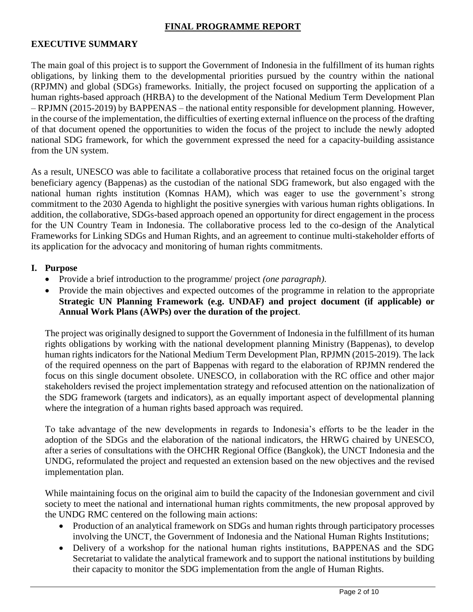## **FINAL PROGRAMME REPORT**

#### **EXECUTIVE SUMMARY**

The main goal of this project is to support the Government of Indonesia in the fulfillment of its human rights obligations, by linking them to the developmental priorities pursued by the country within the national (RPJMN) and global (SDGs) frameworks. Initially, the project focused on supporting the application of a human rights-based approach (HRBA) to the development of the National Medium Term Development Plan – RPJMN (2015-2019) by BAPPENAS – the national entity responsible for development planning. However, in the course of the implementation, the difficulties of exerting external influence on the process of the drafting of that document opened the opportunities to widen the focus of the project to include the newly adopted national SDG framework, for which the government expressed the need for a capacity-building assistance from the UN system.

As a result, UNESCO was able to facilitate a collaborative process that retained focus on the original target beneficiary agency (Bappenas) as the custodian of the national SDG framework, but also engaged with the national human rights institution (Komnas HAM), which was eager to use the government's strong commitment to the 2030 Agenda to highlight the positive synergies with various human rights obligations. In addition, the collaborative, SDGs-based approach opened an opportunity for direct engagement in the process for the UN Country Team in Indonesia. The collaborative process led to the co-design of the Analytical Frameworks for Linking SDGs and Human Rights, and an agreement to continue multi-stakeholder efforts of its application for the advocacy and monitoring of human rights commitments.

#### **I. Purpose**

- Provide a brief introduction to the programme/ project *(one paragraph)*.
- Provide the main objectives and expected outcomes of the programme in relation to the appropriate **Strategic UN Planning Framework (e.g. UNDAF) and project document (if applicable) or Annual Work Plans (AWPs) over the duration of the project**.

The project was originally designed to support the Government of Indonesia in the fulfillment of its human rights obligations by working with the national development planning Ministry (Bappenas), to develop human rights indicators for the National Medium Term Development Plan, RPJMN (2015-2019). The lack of the required openness on the part of Bappenas with regard to the elaboration of RPJMN rendered the focus on this single document obsolete. UNESCO, in collaboration with the RC office and other major stakeholders revised the project implementation strategy and refocused attention on the nationalization of the SDG framework (targets and indicators), as an equally important aspect of developmental planning where the integration of a human rights based approach was required.

To take advantage of the new developments in regards to Indonesia's efforts to be the leader in the adoption of the SDGs and the elaboration of the national indicators, the HRWG chaired by UNESCO, after a series of consultations with the OHCHR Regional Office (Bangkok), the UNCT Indonesia and the UNDG, reformulated the project and requested an extension based on the new objectives and the revised implementation plan.

While maintaining focus on the original aim to build the capacity of the Indonesian government and civil society to meet the national and international human rights commitments, the new proposal approved by the UNDG RMC centered on the following main actions:

- Production of an analytical framework on SDGs and human rights through participatory processes involving the UNCT, the Government of Indonesia and the National Human Rights Institutions;
- Delivery of a workshop for the national human rights institutions, BAPPENAS and the SDG Secretariat to validate the analytical framework and to support the national institutions by building their capacity to monitor the SDG implementation from the angle of Human Rights.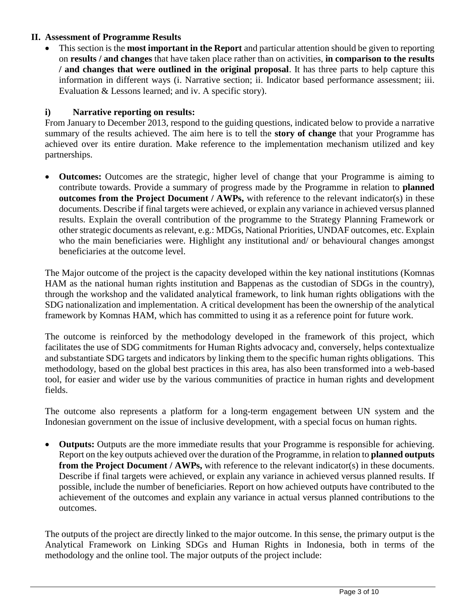## **II. Assessment of Programme Results**

 This section is the **most important in the Report** and particular attention should be given to reporting on **results / and changes** that have taken place rather than on activities, **in comparison to the results / and changes that were outlined in the original proposal**. It has three parts to help capture this information in different ways (i. Narrative section; ii. Indicator based performance assessment; iii. Evaluation & Lessons learned; and iv. A specific story).

# **i) Narrative reporting on results:**

From January to December 2013, respond to the guiding questions, indicated below to provide a narrative summary of the results achieved. The aim here is to tell the **story of change** that your Programme has achieved over its entire duration. Make reference to the implementation mechanism utilized and key partnerships.

 **Outcomes:** Outcomes are the strategic, higher level of change that your Programme is aiming to contribute towards. Provide a summary of progress made by the Programme in relation to **planned outcomes from the Project Document / AWPs,** with reference to the relevant indicator(s) in these documents. Describe if final targets were achieved, or explain any variance in achieved versus planned results. Explain the overall contribution of the programme to the Strategy Planning Framework or other strategic documents as relevant, e.g.: MDGs, National Priorities, UNDAF outcomes, etc. Explain who the main beneficiaries were. Highlight any institutional and/ or behavioural changes amongst beneficiaries at the outcome level.

The Major outcome of the project is the capacity developed within the key national institutions (Komnas HAM as the national human rights institution and Bappenas as the custodian of SDGs in the country), through the workshop and the validated analytical framework, to link human rights obligations with the SDG nationalization and implementation. A critical development has been the ownership of the analytical framework by Komnas HAM, which has committed to using it as a reference point for future work.

The outcome is reinforced by the methodology developed in the framework of this project, which facilitates the use of SDG commitments for Human Rights advocacy and, conversely, helps contextualize and substantiate SDG targets and indicators by linking them to the specific human rights obligations. This methodology, based on the global best practices in this area, has also been transformed into a web-based tool, for easier and wider use by the various communities of practice in human rights and development fields.

The outcome also represents a platform for a long-term engagement between UN system and the Indonesian government on the issue of inclusive development, with a special focus on human rights.

 **Outputs:** Outputs are the more immediate results that your Programme is responsible for achieving. Report on the key outputs achieved over the duration of the Programme, in relation to **planned outputs from the Project Document / AWPs,** with reference to the relevant indicator(s) in these documents. Describe if final targets were achieved, or explain any variance in achieved versus planned results. If possible, include the number of beneficiaries. Report on how achieved outputs have contributed to the achievement of the outcomes and explain any variance in actual versus planned contributions to the outcomes.

The outputs of the project are directly linked to the major outcome. In this sense, the primary output is the Analytical Framework on Linking SDGs and Human Rights in Indonesia, both in terms of the methodology and the online tool. The major outputs of the project include: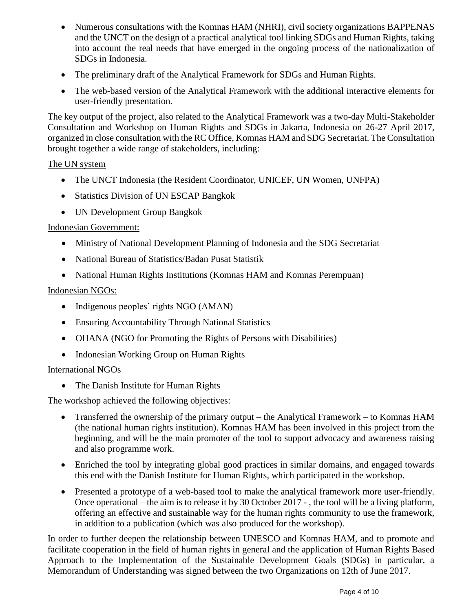- Numerous consultations with the Komnas HAM (NHRI), civil society organizations BAPPENAS and the UNCT on the design of a practical analytical tool linking SDGs and Human Rights, taking into account the real needs that have emerged in the ongoing process of the nationalization of SDGs in Indonesia.
- The preliminary draft of the Analytical Framework for SDGs and Human Rights.
- The web-based version of the Analytical Framework with the additional interactive elements for user-friendly presentation.

The key output of the project, also related to the Analytical Framework was a two-day Multi-Stakeholder Consultation and Workshop on Human Rights and SDGs in Jakarta, Indonesia on 26-27 April 2017, organized in close consultation with the RC Office, Komnas HAM and SDG Secretariat. The Consultation brought together a wide range of stakeholders, including:

# The UN system

- The UNCT Indonesia (the Resident Coordinator, UNICEF, UN Women, UNFPA)
- Statistics Division of UN ESCAP Bangkok
- UN Development Group Bangkok

## Indonesian Government:

- Ministry of National Development Planning of Indonesia and the SDG Secretariat
- National Bureau of Statistics/Badan Pusat Statistik
- National Human Rights Institutions (Komnas HAM and Komnas Perempuan)

## Indonesian NGOs:

- Indigenous peoples' rights NGO (AMAN)
- Ensuring Accountability Through National Statistics
- OHANA (NGO for Promoting the Rights of Persons with Disabilities)
- Indonesian Working Group on Human Rights

## International NGOs

• The Danish Institute for Human Rights

The workshop achieved the following objectives:

- Transferred the ownership of the primary output the Analytical Framework to Komnas HAM (the national human rights institution). Komnas HAM has been involved in this project from the beginning, and will be the main promoter of the tool to support advocacy and awareness raising and also programme work.
- Enriched the tool by integrating global good practices in similar domains, and engaged towards this end with the Danish Institute for Human Rights, which participated in the workshop.
- Presented a prototype of a web-based tool to make the analytical framework more user-friendly. Once operational – the aim is to release it by 30 October 2017 - , the tool will be a living platform, offering an effective and sustainable way for the human rights community to use the framework, in addition to a publication (which was also produced for the workshop).

In order to further deepen the relationship between UNESCO and Komnas HAM, and to promote and facilitate cooperation in the field of human rights in general and the application of Human Rights Based Approach to the Implementation of the Sustainable Development Goals (SDGs) in particular, a Memorandum of Understanding was signed between the two Organizations on 12th of June 2017.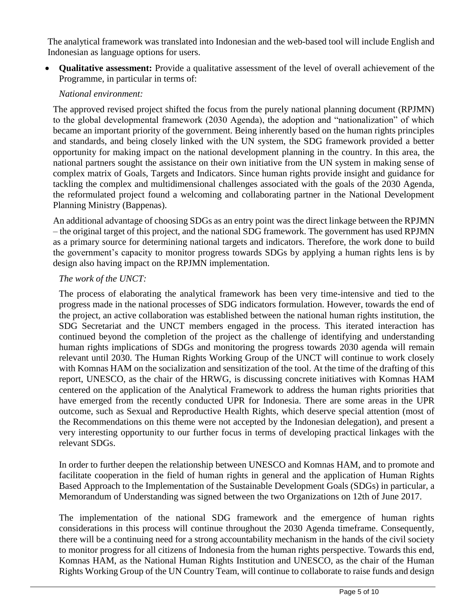The analytical framework was translated into Indonesian and the web-based tool will include English and Indonesian as language options for users.

 **Qualitative assessment:** Provide a qualitative assessment of the level of overall achievement of the Programme, in particular in terms of:

# *National environment:*

The approved revised project shifted the focus from the purely national planning document (RPJMN) to the global developmental framework (2030 Agenda), the adoption and "nationalization" of which became an important priority of the government. Being inherently based on the human rights principles and standards, and being closely linked with the UN system, the SDG framework provided a better opportunity for making impact on the national development planning in the country. In this area, the national partners sought the assistance on their own initiative from the UN system in making sense of complex matrix of Goals, Targets and Indicators. Since human rights provide insight and guidance for tackling the complex and multidimensional challenges associated with the goals of the 2030 Agenda, the reformulated project found a welcoming and collaborating partner in the National Development Planning Ministry (Bappenas).

An additional advantage of choosing SDGs as an entry point was the direct linkage between the RPJMN – the original target of this project, and the national SDG framework. The government has used RPJMN as a primary source for determining national targets and indicators. Therefore, the work done to build the government's capacity to monitor progress towards SDGs by applying a human rights lens is by design also having impact on the RPJMN implementation.

## *The work of the UNCT:*

The process of elaborating the analytical framework has been very time-intensive and tied to the progress made in the national processes of SDG indicators formulation. However, towards the end of the project, an active collaboration was established between the national human rights institution, the SDG Secretariat and the UNCT members engaged in the process. This iterated interaction has continued beyond the completion of the project as the challenge of identifying and understanding human rights implications of SDGs and monitoring the progress towards 2030 agenda will remain relevant until 2030. The Human Rights Working Group of the UNCT will continue to work closely with Komnas HAM on the socialization and sensitization of the tool. At the time of the drafting of this report, UNESCO, as the chair of the HRWG, is discussing concrete initiatives with Komnas HAM centered on the application of the Analytical Framework to address the human rights priorities that have emerged from the recently conducted UPR for Indonesia. There are some areas in the UPR outcome, such as Sexual and Reproductive Health Rights, which deserve special attention (most of the Recommendations on this theme were not accepted by the Indonesian delegation), and present a very interesting opportunity to our further focus in terms of developing practical linkages with the relevant SDGs.

In order to further deepen the relationship between UNESCO and Komnas HAM, and to promote and facilitate cooperation in the field of human rights in general and the application of Human Rights Based Approach to the Implementation of the Sustainable Development Goals (SDGs) in particular, a Memorandum of Understanding was signed between the two Organizations on 12th of June 2017.

The implementation of the national SDG framework and the emergence of human rights considerations in this process will continue throughout the 2030 Agenda timeframe. Consequently, there will be a continuing need for a strong accountability mechanism in the hands of the civil society to monitor progress for all citizens of Indonesia from the human rights perspective. Towards this end, Komnas HAM, as the National Human Rights Institution and UNESCO, as the chair of the Human Rights Working Group of the UN Country Team, will continue to collaborate to raise funds and design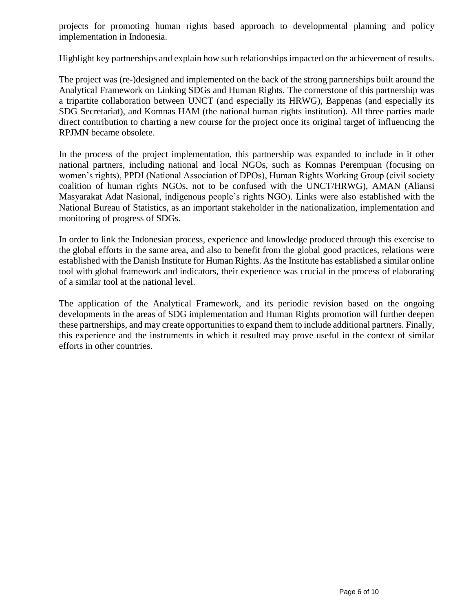projects for promoting human rights based approach to developmental planning and policy implementation in Indonesia.

Highlight key partnerships and explain how such relationships impacted on the achievement of results.

The project was (re-)designed and implemented on the back of the strong partnerships built around the Analytical Framework on Linking SDGs and Human Rights. The cornerstone of this partnership was a tripartite collaboration between UNCT (and especially its HRWG), Bappenas (and especially its SDG Secretariat), and Komnas HAM (the national human rights institution). All three parties made direct contribution to charting a new course for the project once its original target of influencing the RPJMN became obsolete.

In the process of the project implementation, this partnership was expanded to include in it other national partners, including national and local NGOs, such as Komnas Perempuan (focusing on women's rights), PPDI (National Association of DPOs), Human Rights Working Group (civil society coalition of human rights NGOs, not to be confused with the UNCT/HRWG), AMAN (Aliansi Masyarakat Adat Nasional, indigenous people's rights NGO). Links were also established with the National Bureau of Statistics, as an important stakeholder in the nationalization, implementation and monitoring of progress of SDGs.

In order to link the Indonesian process, experience and knowledge produced through this exercise to the global efforts in the same area, and also to benefit from the global good practices, relations were established with the Danish Institute for Human Rights. As the Institute has established a similar online tool with global framework and indicators, their experience was crucial in the process of elaborating of a similar tool at the national level.

The application of the Analytical Framework, and its periodic revision based on the ongoing developments in the areas of SDG implementation and Human Rights promotion will further deepen these partnerships, and may create opportunities to expand them to include additional partners. Finally, this experience and the instruments in which it resulted may prove useful in the context of similar efforts in other countries.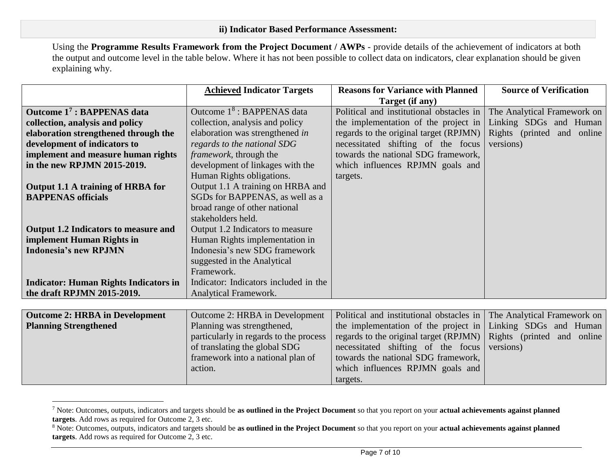Using the **Programme Results Framework from the Project Document / AWPs** - provide details of the achievement of indicators at both the output and outcome level in the table below. Where it has not been possible to collect data on indicators, clear explanation should be given explaining why.

|                                              | <b>Achieved Indicator Targets</b>      | <b>Reasons for Variance with Planned</b> | <b>Source of Verification</b> |
|----------------------------------------------|----------------------------------------|------------------------------------------|-------------------------------|
|                                              |                                        | Target (if any)                          |                               |
| Outcome 17 : BAPPENAS data                   | Outcome 1 <sup>8</sup> : BAPPENAS data | Political and institutional obstacles in | The Analytical Framework on   |
| collection, analysis and policy              | collection, analysis and policy        | the implementation of the project in     | Linking SDGs and Human        |
| elaboration strengthened through the         | elaboration was strengthened in        | regards to the original target (RPJMN)   | Rights (printed and online    |
| development of indicators to                 | regards to the national SDG            | necessitated shifting of the focus       | versions)                     |
| implement and measure human rights           | framework, through the                 | towards the national SDG framework,      |                               |
| in the new RPJMN 2015-2019.                  | development of linkages with the       | which influences RPJMN goals and         |                               |
|                                              | Human Rights obligations.              | targets.                                 |                               |
| Output 1.1 A training of HRBA for            | Output 1.1 A training on HRBA and      |                                          |                               |
| <b>BAPPENAS</b> officials                    | SGDs for BAPPENAS, as well as a        |                                          |                               |
|                                              | broad range of other national          |                                          |                               |
|                                              | stakeholders held.                     |                                          |                               |
| <b>Output 1.2 Indicators to measure and</b>  | Output 1.2 Indicators to measure       |                                          |                               |
| implement Human Rights in                    | Human Rights implementation in         |                                          |                               |
| <b>Indonesia's new RPJMN</b>                 | Indonesia's new SDG framework          |                                          |                               |
|                                              | suggested in the Analytical            |                                          |                               |
|                                              | Framework.                             |                                          |                               |
| <b>Indicator: Human Rights Indicators in</b> | Indicator: Indicators included in the  |                                          |                               |
| the draft RPJMN 2015-2019.                   | Analytical Framework.                  |                                          |                               |
|                                              |                                        |                                          |                               |
| <b>Outcome 2: HRBA in Development</b>        | Outcome 2: HRBA in Development         | Political and institutional obstacles in | The Analytical Framework on   |
| <b>Planning Strengthened</b>                 | Planning was strengthened,             | the implementation of the project in     | Linking SDGs and Human        |
|                                              | particularly in regards to the process | regards to the original target (RPJMN)   | Rights (printed and online    |
|                                              | of translating the global SDG          | necessitated shifting of the focus       | versions)                     |
|                                              | framework into a national plan of      | towards the national SDG framework,      |                               |
|                                              | action.                                | which influences RPJMN goals and         |                               |
|                                              |                                        | targets.                                 |                               |

<sup>7</sup> Note: Outcomes, outputs, indicators and targets should be **as outlined in the Project Document** so that you report on your **actual achievements against planned targets**. Add rows as required for Outcome 2, 3 etc.

 $\overline{a}$ 

<sup>8</sup> Note: Outcomes, outputs, indicators and targets should be **as outlined in the Project Document** so that you report on your **actual achievements against planned targets**. Add rows as required for Outcome 2, 3 etc.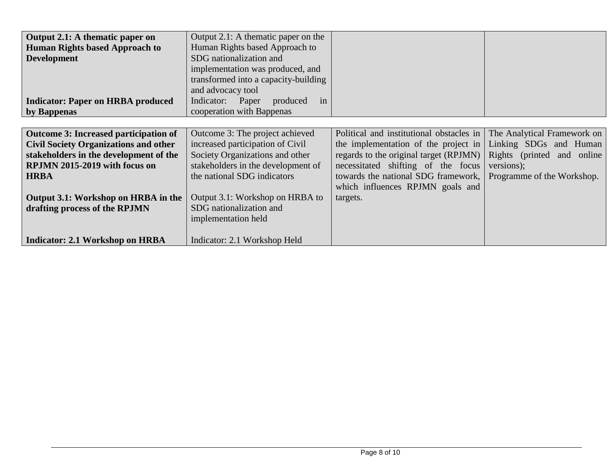| Output 2.1: A thematic paper on              | Output 2.1: A thematic paper on the  |                                          |                             |
|----------------------------------------------|--------------------------------------|------------------------------------------|-----------------------------|
| <b>Human Rights based Approach to</b>        | Human Rights based Approach to       |                                          |                             |
| <b>Development</b>                           | SDG nationalization and              |                                          |                             |
|                                              | implementation was produced, and     |                                          |                             |
|                                              | transformed into a capacity-building |                                          |                             |
|                                              | and advocacy tool                    |                                          |                             |
| <b>Indicator: Paper on HRBA produced</b>     | Indicator: Paper<br>produced<br>in   |                                          |                             |
| by Bappenas                                  | cooperation with Bappenas            |                                          |                             |
|                                              |                                      |                                          |                             |
|                                              |                                      |                                          |                             |
| Outcome 3: Increased participation of        | Outcome 3: The project achieved      | Political and institutional obstacles in | The Analytical Framework on |
| <b>Civil Society Organizations and other</b> | increased participation of Civil     | the implementation of the project in     | Linking SDGs and Human      |
| stakeholders in the development of the       | Society Organizations and other      | regards to the original target (RPJMN)   | Rights (printed and online  |
| RPJMN 2015-2019 with focus on                | stakeholders in the development of   | necessitated shifting of the focus       | versions);                  |
| <b>HRBA</b>                                  | the national SDG indicators          | towards the national SDG framework,      | Programme of the Workshop.  |
|                                              |                                      | which influences RPJMN goals and         |                             |
| Output 3.1: Workshop on HRBA in the          | Output 3.1: Workshop on HRBA to      | targets.                                 |                             |
|                                              |                                      |                                          |                             |
| drafting process of the RPJMN                | SDG nationalization and              |                                          |                             |
|                                              | implementation held                  |                                          |                             |
|                                              |                                      |                                          |                             |
| Indicator: 2.1 Workshop on HRBA              | Indicator: 2.1 Workshop Held         |                                          |                             |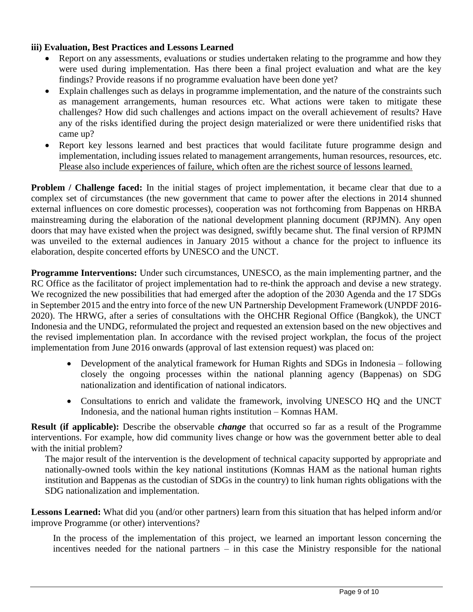## **iii) Evaluation, Best Practices and Lessons Learned**

- Report on any assessments, evaluations or studies undertaken relating to the programme and how they were used during implementation. Has there been a final project evaluation and what are the key findings? Provide reasons if no programme evaluation have been done yet?
- Explain challenges such as delays in programme implementation, and the nature of the constraints such as management arrangements, human resources etc. What actions were taken to mitigate these challenges? How did such challenges and actions impact on the overall achievement of results? Have any of the risks identified during the project design materialized or were there unidentified risks that came up?
- Report key lessons learned and best practices that would facilitate future programme design and implementation, including issues related to management arrangements, human resources, resources, etc. Please also include experiences of failure, which often are the richest source of lessons learned.

**Problem / Challenge faced:** In the initial stages of project implementation, it became clear that due to a complex set of circumstances (the new government that came to power after the elections in 2014 shunned external influences on core domestic processes), cooperation was not forthcoming from Bappenas on HRBA mainstreaming during the elaboration of the national development planning document (RPJMN). Any open doors that may have existed when the project was designed, swiftly became shut. The final version of RPJMN was unveiled to the external audiences in January 2015 without a chance for the project to influence its elaboration, despite concerted efforts by UNESCO and the UNCT.

**Programme Interventions:** Under such circumstances, UNESCO, as the main implementing partner, and the RC Office as the facilitator of project implementation had to re-think the approach and devise a new strategy. We recognized the new possibilities that had emerged after the adoption of the 2030 Agenda and the 17 SDGs in September 2015 and the entry into force of the new UN Partnership Development Framework (UNPDF 2016- 2020). The HRWG, after a series of consultations with the OHCHR Regional Office (Bangkok), the UNCT Indonesia and the UNDG, reformulated the project and requested an extension based on the new objectives and the revised implementation plan. In accordance with the revised project workplan, the focus of the project implementation from June 2016 onwards (approval of last extension request) was placed on:

- Development of the analytical framework for Human Rights and SDGs in Indonesia following closely the ongoing processes within the national planning agency (Bappenas) on SDG nationalization and identification of national indicators.
- Consultations to enrich and validate the framework, involving UNESCO HQ and the UNCT Indonesia, and the national human rights institution – Komnas HAM.

**Result (if applicable):** Describe the observable *change* that occurred so far as a result of the Programme interventions. For example, how did community lives change or how was the government better able to deal with the initial problem?

The major result of the intervention is the development of technical capacity supported by appropriate and nationally-owned tools within the key national institutions (Komnas HAM as the national human rights institution and Bappenas as the custodian of SDGs in the country) to link human rights obligations with the SDG nationalization and implementation.

**Lessons Learned:** What did you (and/or other partners) learn from this situation that has helped inform and/or improve Programme (or other) interventions?

In the process of the implementation of this project, we learned an important lesson concerning the incentives needed for the national partners – in this case the Ministry responsible for the national